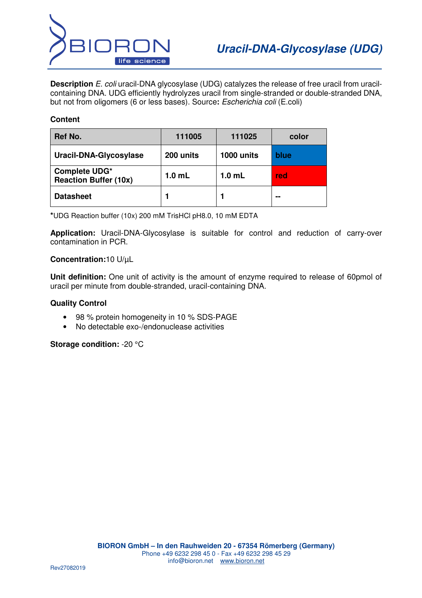

**Description** E. coli uracil-DNA glycosylase (UDG) catalyzes the release of free uracil from uracilcontaining DNA. UDG efficiently hydrolyzes uracil from single-stranded or double-stranded DNA, but not from oligomers (6 or less bases). Source**:** Escherichia coli (E.coli)

## **Content**

| Ref No.                                       | 111005            | 111025            | color |
|-----------------------------------------------|-------------------|-------------------|-------|
| Uracil-DNA-Glycosylase                        | 200 units         | 1000 units        | blue  |
| Complete UDG*<br><b>Reaction Buffer (10x)</b> | 1.0 <sub>mL</sub> | 1.0 <sub>mL</sub> | red   |
| <b>Datasheet</b>                              |                   |                   | --    |

**\***UDG Reaction buffer (10x) 200 mM TrisHCl pH8.0, 10 mM EDTA

**Application:** Uracil-DNA-Glycosylase is suitable for control and reduction of carry-over contamination in PCR.

## **Concentration:**10 U/µL

**Unit definition:** One unit of activity is the amount of enzyme required to release of 60pmol of uracil per minute from double-stranded, uracil-containing DNA.

### **Quality Control**

- 98 % protein homogeneity in 10 % SDS-PAGE
- No detectable exo-/endonuclease activities

**Storage condition:** -20 °C